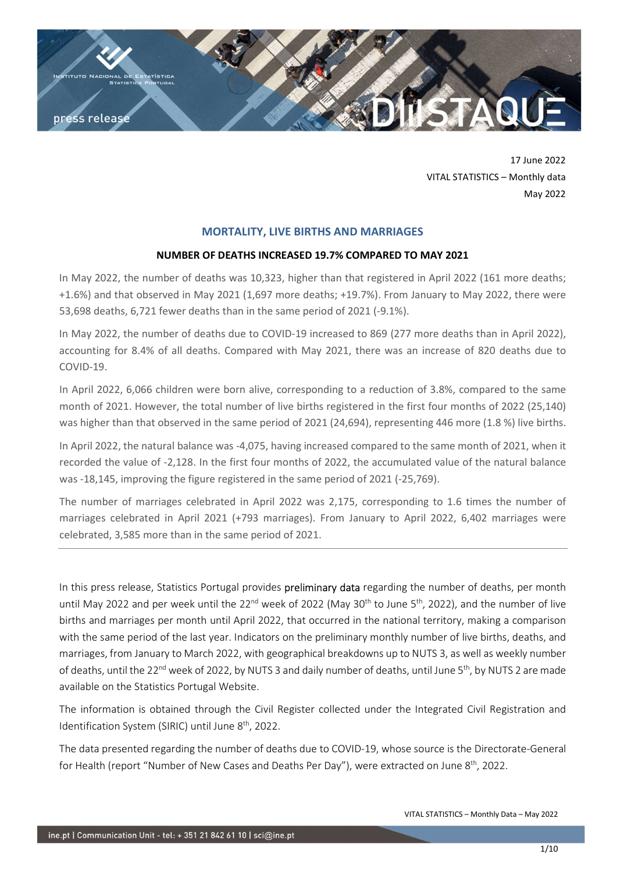

17 June 2022 VITAL STATISTICS – Monthly data May 2022

# MORTALITY, LIVE BIRTHS AND MARRIAGES

## NUMBER OF DEATHS INCREASED 19.7% COMPARED TO MAY 2021

In May 2022, the number of deaths was 10,323, higher than that registered in April 2022 (161 more deaths; +1.6%) and that observed in May 2021 (1,697 more deaths; +19.7%). From January to May 2022, there were 53,698 deaths, 6,721 fewer deaths than in the same period of 2021 (-9.1%).

In May 2022, the number of deaths due to COVID-19 increased to 869 (277 more deaths than in April 2022), accounting for 8.4% of all deaths. Compared with May 2021, there was an increase of 820 deaths due to COVID-19.

In April 2022, 6,066 children were born alive, corresponding to a reduction of 3.8%, compared to the same month of 2021. However, the total number of live births registered in the first four months of 2022 (25,140) was higher than that observed in the same period of 2021 (24,694), representing 446 more (1.8 %) live births.

In April 2022, the natural balance was -4,075, having increased compared to the same month of 2021, when it recorded the value of -2,128. In the first four months of 2022, the accumulated value of the natural balance was -18,145, improving the figure registered in the same period of 2021 (-25,769).

The number of marriages celebrated in April 2022 was 2,175, corresponding to 1.6 times the number of marriages celebrated in April 2021 (+793 marriages). From January to April 2022, 6,402 marriages were celebrated, 3,585 more than in the same period of 2021.

In this press release, Statistics Portugal provides preliminary data regarding the number of deaths, per month until May 2022 and per week until the 22<sup>nd</sup> week of 2022 (May 30<sup>th</sup> to June 5<sup>th</sup>, 2022), and the number of live births and marriages per month until April 2022, that occurred in the national territory, making a comparison with the same period of the last year. Indicators on the preliminary monthly number of live births, deaths, and marriages, from January to March 2022, with geographical breakdowns up to NUTS 3, as well as weekly number of deaths, until the 22<sup>nd</sup> week of 2022, by NUTS 3 and daily number of deaths, until June 5<sup>th</sup>, by NUTS 2 are made available on the Statistics Portugal Website.

The information is obtained through the Civil Register collected under the Integrated Civil Registration and Identification System (SIRIC) until June 8<sup>th</sup>, 2022.

The data presented regarding the number of deaths due to COVID-19, whose source is the Directorate-General for Health (report "Number of New Cases and Deaths Per Day"), were extracted on June 8<sup>th</sup>, 2022.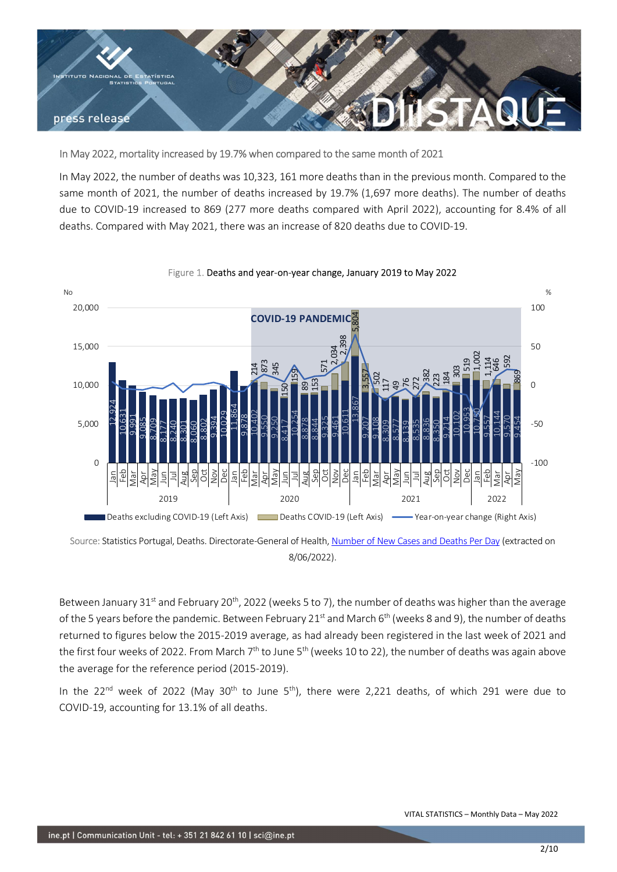

# In May 2022, mortality increased by 19.7% when compared to the same month of 2021

In May 2022, the number of deaths was 10,323, 161 more deaths than in the previous month. Compared to the same month of 2021, the number of deaths increased by 19.7% (1,697 more deaths). The number of deaths due to COVID-19 increased to 869 (277 more deaths compared with April 2022), accounting for 8.4% of all deaths. Compared with May 2021, there was an increase of 820 deaths due to COVID-19.



### Figure 1. Deaths and year-on-year change, January 2019 to May 2022

Source: Statistics Portugal, Deaths. Directorate-General of Health, Number of New Cases and Deaths Per Day (extracted on 8/06/2022).

Between January 31<sup>st</sup> and February 20<sup>th</sup>, 2022 (weeks 5 to 7), the number of deaths was higher than the average of the 5 years before the pandemic. Between February 21st and March  $6<sup>th</sup>$  (weeks 8 and 9), the number of deaths returned to figures below the 2015-2019 average, as had already been registered in the last week of 2021 and the first four weeks of 2022. From March  $7<sup>th</sup>$  to June  $5<sup>th</sup>$  (weeks 10 to 22), the number of deaths was again above the average for the reference period (2015-2019).

In the 22<sup>nd</sup> week of 2022 (May 30<sup>th</sup> to June 5<sup>th</sup>), there were 2,221 deaths, of which 291 were due to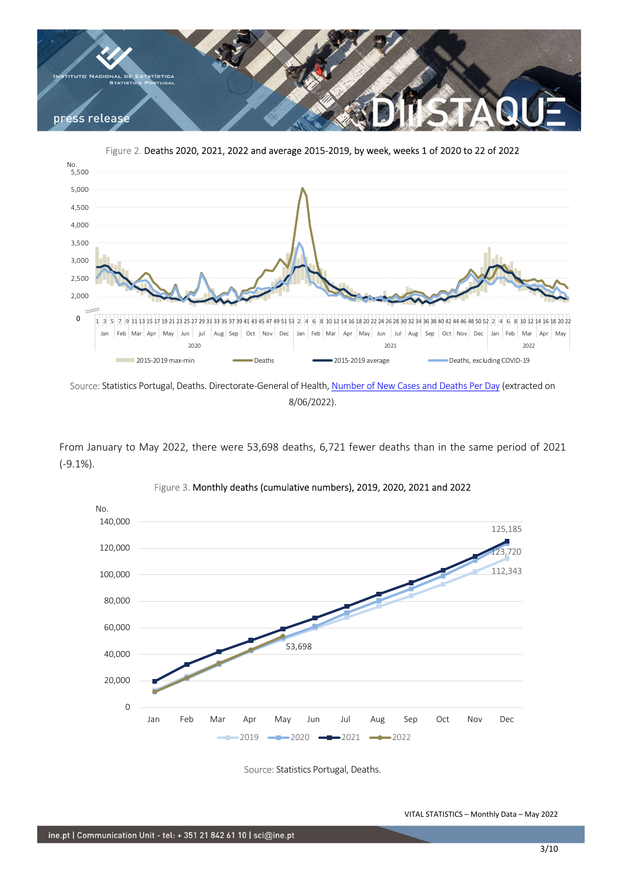

Figure 2. Deaths 2020, 2021, 2022 and average 2015-2019, by week, weeks 1 of 2020 to 22 of 2022



Source: Statistics Portugal, Deaths. Directorate-General of Health, Number of New Cases and Deaths Per Day (extracted on 8/06/2022).

From January to May 2022, there were 53,698 deaths, 6,721 fewer deaths than in the same period of 2021 (-9.1%).



Figure 3. Monthly deaths (cumulative numbers), 2019, 2020, 2021 and 2022

Source: Statistics Portugal, Deaths.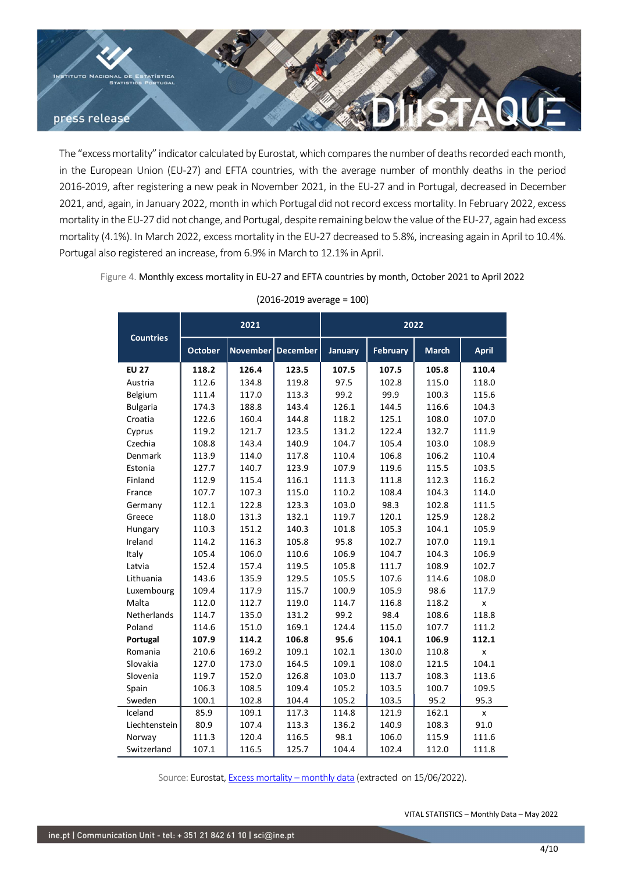

The "excess mortality" indicator calculated by Eurostat, which compares the number of deaths recorded each month, in the European Union (EU-27) and EFTA countries, with the average number of monthly deaths in the period 2016-2019, after registering a new peak in November 2021, in the EU-27 and in Portugal, decreased in December 2021, and, again, in January 2022, month in which Portugal did not record excess mortality. In February 2022, excess mortality in the EU-27 did not change, and Portugal, despite remaining below the value of the EU-27, again had excess mortality (4.1%). In March 2022, excess mortality in the EU-27 decreased to 5.8%, increasing again in April to 10.4%. Portugal also registered an increase, from 6.9% in March to 12.1% in April. or calculated by Eurostat, which compares the number of deaths recorded each month,<br>
27) and EFTA countries, with the average number of monthly deaths in the period<br>
2022, month in Wolvember 2021, in the EU-27 and in Port By Eurostat, which compares the number of deaths recorded each month,<br>
A countries, with the average number of deaths recorded each month,<br>
A countries, with the average number of monthly deaths in the period<br>
in November

| fter registering a new peak in November 2021, in the EU-27 and in Portugal, decreased in December<br>ain, in January 2022, month in which Portugal did not record excess mortality. In February 2022, excess<br>e EU-27 did not change, and Portugal, despite remaining below the value of the EU-27, again had excess<br>%). In March 2022, excess mortality in the EU-27 decreased to 5.8%, increasing again in April to 10.4%.<br>registered an increase, from 6.9% in March to 12.1% in April. |                |                                                                              |                                |                |                |                                            | ean Union (EU-27) and EFTA countries, with the average number of monthly deaths in the period |
|----------------------------------------------------------------------------------------------------------------------------------------------------------------------------------------------------------------------------------------------------------------------------------------------------------------------------------------------------------------------------------------------------------------------------------------------------------------------------------------------------|----------------|------------------------------------------------------------------------------|--------------------------------|----------------|----------------|--------------------------------------------|-----------------------------------------------------------------------------------------------|
|                                                                                                                                                                                                                                                                                                                                                                                                                                                                                                    |                |                                                                              |                                |                |                |                                            |                                                                                               |
|                                                                                                                                                                                                                                                                                                                                                                                                                                                                                                    |                |                                                                              |                                |                |                |                                            |                                                                                               |
|                                                                                                                                                                                                                                                                                                                                                                                                                                                                                                    |                |                                                                              |                                |                |                |                                            |                                                                                               |
|                                                                                                                                                                                                                                                                                                                                                                                                                                                                                                    |                |                                                                              |                                |                |                |                                            |                                                                                               |
|                                                                                                                                                                                                                                                                                                                                                                                                                                                                                                    |                |                                                                              |                                |                |                |                                            |                                                                                               |
| e 4. Monthly excess mortality in EU-27 and EFTA countries by month, October 2021 to April 2022                                                                                                                                                                                                                                                                                                                                                                                                     |                |                                                                              |                                |                |                |                                            |                                                                                               |
|                                                                                                                                                                                                                                                                                                                                                                                                                                                                                                    |                |                                                                              | $(2016 - 2019)$ average = 100) |                |                |                                            |                                                                                               |
| <b>Countries</b>                                                                                                                                                                                                                                                                                                                                                                                                                                                                                   | 2021           |                                                                              |                                | 2022           |                |                                            |                                                                                               |
|                                                                                                                                                                                                                                                                                                                                                                                                                                                                                                    | October        | November   December                                                          |                                | January        | February       | <b>March</b>                               | <b>April</b>                                                                                  |
| <b>EU 27</b>                                                                                                                                                                                                                                                                                                                                                                                                                                                                                       | 118.2          | 126.4                                                                        | 123.5                          | 107.5          | 107.5          | 105.8                                      | 110.4                                                                                         |
| Austria                                                                                                                                                                                                                                                                                                                                                                                                                                                                                            | 112.6          | 134.8                                                                        | 119.8                          | 97.5           | 102.8          | 115.0                                      | 118.0                                                                                         |
| Belgium                                                                                                                                                                                                                                                                                                                                                                                                                                                                                            | 111.4          | 117.0                                                                        | 113.3                          | 99.2           | 99.9           | 100.3                                      | 115.6                                                                                         |
| <b>Bulgaria</b>                                                                                                                                                                                                                                                                                                                                                                                                                                                                                    | 174.3          | 188.8                                                                        | 143.4                          | 126.1          | 144.5          | 116.6                                      | 104.3                                                                                         |
| Croatia                                                                                                                                                                                                                                                                                                                                                                                                                                                                                            | 122.6<br>119.2 | 160.4<br>121.7                                                               | 144.8<br>123.5                 | 118.2<br>131.2 | 125.1<br>122.4 | 108.0<br>132.7                             | 107.0<br>111.9                                                                                |
| Cyprus<br>Czechia                                                                                                                                                                                                                                                                                                                                                                                                                                                                                  | 108.8          | 143.4                                                                        | 140.9                          | 104.7          | 105.4          | 103.0                                      | 108.9                                                                                         |
| Denmark                                                                                                                                                                                                                                                                                                                                                                                                                                                                                            | 113.9          | 114.0                                                                        | 117.8                          | 110.4          | 106.8          | 106.2                                      | 110.4                                                                                         |
| Estonia                                                                                                                                                                                                                                                                                                                                                                                                                                                                                            | 127.7          | 140.7                                                                        | 123.9                          | 107.9          | 119.6          | 115.5                                      | 103.5                                                                                         |
| Finland                                                                                                                                                                                                                                                                                                                                                                                                                                                                                            | 112.9          | 115.4                                                                        | 116.1                          | 111.3          | 111.8          | 112.3                                      | 116.2                                                                                         |
| France                                                                                                                                                                                                                                                                                                                                                                                                                                                                                             | 107.7          | 107.3                                                                        | 115.0                          | 110.2          | 108.4          | 104.3                                      | 114.0                                                                                         |
| Germany                                                                                                                                                                                                                                                                                                                                                                                                                                                                                            | 112.1          | 122.8                                                                        | 123.3                          | 103.0          | 98.3           | 102.8                                      | 111.5                                                                                         |
| Greece                                                                                                                                                                                                                                                                                                                                                                                                                                                                                             | 118.0          | 131.3                                                                        | 132.1                          | 119.7          | 120.1          | 125.9                                      | 128.2                                                                                         |
| Hungary                                                                                                                                                                                                                                                                                                                                                                                                                                                                                            | 110.3          | 151.2                                                                        | 140.3                          | 101.8          | 105.3          | 104.1                                      | 105.9                                                                                         |
| Ireland<br>Italy                                                                                                                                                                                                                                                                                                                                                                                                                                                                                   | 114.2<br>105.4 | 116.3<br>106.0                                                               | 105.8<br>110.6                 | 95.8<br>106.9  | 102.7<br>104.7 | 107.0<br>104.3                             | 119.1<br>106.9                                                                                |
| Latvia                                                                                                                                                                                                                                                                                                                                                                                                                                                                                             | 152.4          | 157.4                                                                        | 119.5                          | 105.8          | 111.7          | 108.9                                      | 102.7                                                                                         |
| Lithuania                                                                                                                                                                                                                                                                                                                                                                                                                                                                                          | 143.6          | 135.9                                                                        | 129.5                          | 105.5          | 107.6          | 114.6                                      | 108.0                                                                                         |
| Luxembourg                                                                                                                                                                                                                                                                                                                                                                                                                                                                                         | 109.4          | 117.9                                                                        | 115.7                          | 100.9          | 105.9          | 98.6                                       | 117.9                                                                                         |
| Malta                                                                                                                                                                                                                                                                                                                                                                                                                                                                                              | 112.0          | 112.7                                                                        | 119.0                          | 114.7          | 116.8          | 118.2                                      | $\pmb{\mathsf{x}}$                                                                            |
| Netherlands                                                                                                                                                                                                                                                                                                                                                                                                                                                                                        | 114.7          | 135.0                                                                        | 131.2                          | 99.2           | 98.4           | 108.6                                      | 118.8                                                                                         |
| Poland                                                                                                                                                                                                                                                                                                                                                                                                                                                                                             | 114.6          | 151.0                                                                        | 169.1                          | 124.4          | 115.0          | 107.7                                      | 111.2                                                                                         |
| Portugal                                                                                                                                                                                                                                                                                                                                                                                                                                                                                           | 107.9<br>210.6 | 114.2<br>169.2                                                               | 106.8<br>109.1                 | 95.6           | 104.1<br>130.0 | 106.9<br>110.8                             | 112.1                                                                                         |
| Romania<br>Slovakia                                                                                                                                                                                                                                                                                                                                                                                                                                                                                | 127.0          | 173.0                                                                        | 164.5                          | 102.1<br>109.1 | 108.0          | 121.5                                      | X<br>104.1                                                                                    |
| Slovenia                                                                                                                                                                                                                                                                                                                                                                                                                                                                                           | 119.7          | 152.0                                                                        | 126.8                          | 103.0          | 113.7          | 108.3                                      | 113.6                                                                                         |
| Spain                                                                                                                                                                                                                                                                                                                                                                                                                                                                                              | 106.3          | 108.5                                                                        | 109.4                          | 105.2          | 103.5          | 100.7                                      | 109.5                                                                                         |
| Sweden                                                                                                                                                                                                                                                                                                                                                                                                                                                                                             | 100.1          | 102.8                                                                        | 104.4                          | 105.2          | 103.5          | 95.2                                       | 95.3                                                                                          |
| Iceland                                                                                                                                                                                                                                                                                                                                                                                                                                                                                            | 85.9           | 109.1                                                                        | 117.3                          | 114.8          | 121.9          | 162.1                                      | X                                                                                             |
| Liechtenstein                                                                                                                                                                                                                                                                                                                                                                                                                                                                                      | 80.9           | 107.4                                                                        | 113.3                          | 136.2          | 140.9          | 108.3                                      | 91.0                                                                                          |
| Norway                                                                                                                                                                                                                                                                                                                                                                                                                                                                                             | 111.3<br>107.1 | 120.4<br>116.5                                                               | 116.5<br>125.7                 | 98.1<br>104.4  | 106.0<br>102.4 | 115.9<br>112.0                             | 111.6<br>111.8                                                                                |
| Switzerland                                                                                                                                                                                                                                                                                                                                                                                                                                                                                        |                |                                                                              |                                |                |                |                                            |                                                                                               |
|                                                                                                                                                                                                                                                                                                                                                                                                                                                                                                    |                |                                                                              |                                |                |                |                                            |                                                                                               |
|                                                                                                                                                                                                                                                                                                                                                                                                                                                                                                    |                | Source: Eurostat, Excess mortality - monthly data (extracted on 15/06/2022). |                                |                |                |                                            |                                                                                               |
|                                                                                                                                                                                                                                                                                                                                                                                                                                                                                                    |                |                                                                              |                                |                |                |                                            |                                                                                               |
|                                                                                                                                                                                                                                                                                                                                                                                                                                                                                                    |                |                                                                              |                                |                |                | VITAL STATISTICS - Monthly Data - May 2022 |                                                                                               |
|                                                                                                                                                                                                                                                                                                                                                                                                                                                                                                    |                |                                                                              |                                |                |                |                                            |                                                                                               |

## Figure 4. Monthly excess mortality in EU-27 and EFTA countries by month, October 2021 to April 2022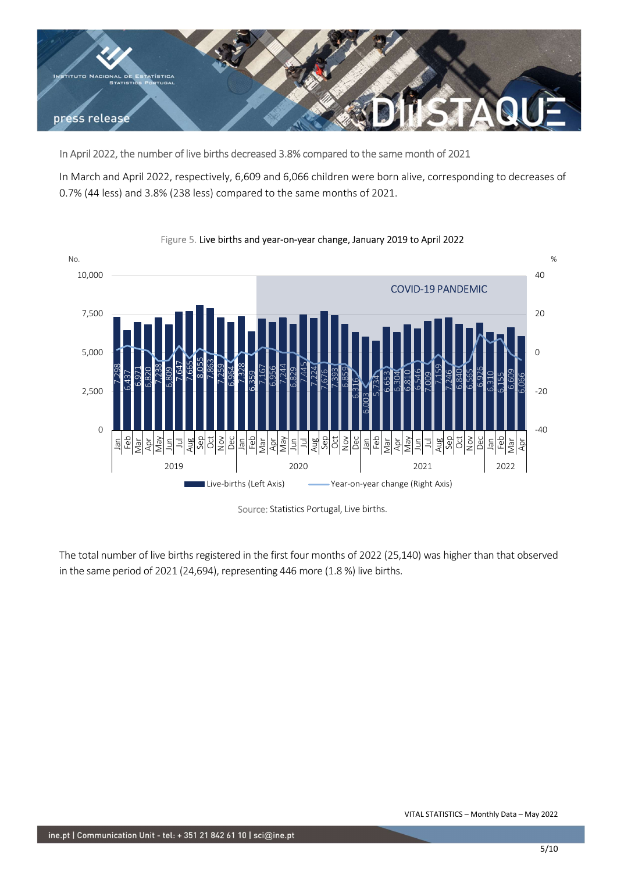

In April 2022, the number of live births decreased 3.8% compared to the same month of 2021

In March and April 2022, respectively, 6,609 and 6,066 children were born alive, corresponding to decreases of 0.7% (44 less) and 3.8% (238 less) compared to the same months of 2021.



# Figure 5. Live births and year-on-year change, January 2019 to April 2022

Source: Statistics Portugal, Live births.

The total number of live births registered in the first four months of 2022 (25,140) was higher than that observed in the same period of 2021 (24,694), representing 446 more (1.8 %) live births.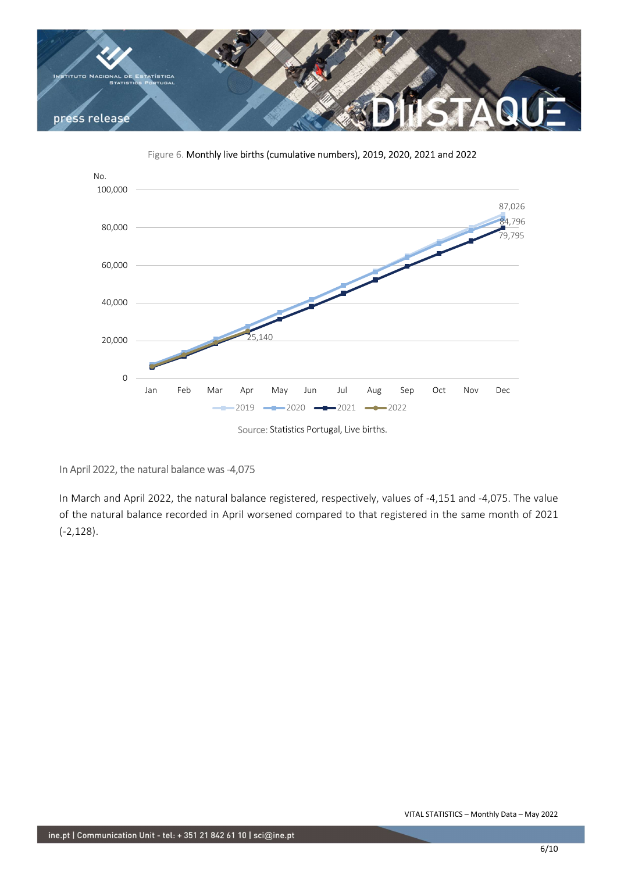

Figure 6. Monthly live births (cumulative numbers), 2019, 2020, 2021 and 2022



In April 2022, the natural balance was -4,075

In March and April 2022, the natural balance registered, respectively, values of -4,151 and -4,075. The value of the natural balance recorded in April worsened compared to that registered in the same month of 2021 (-2,128).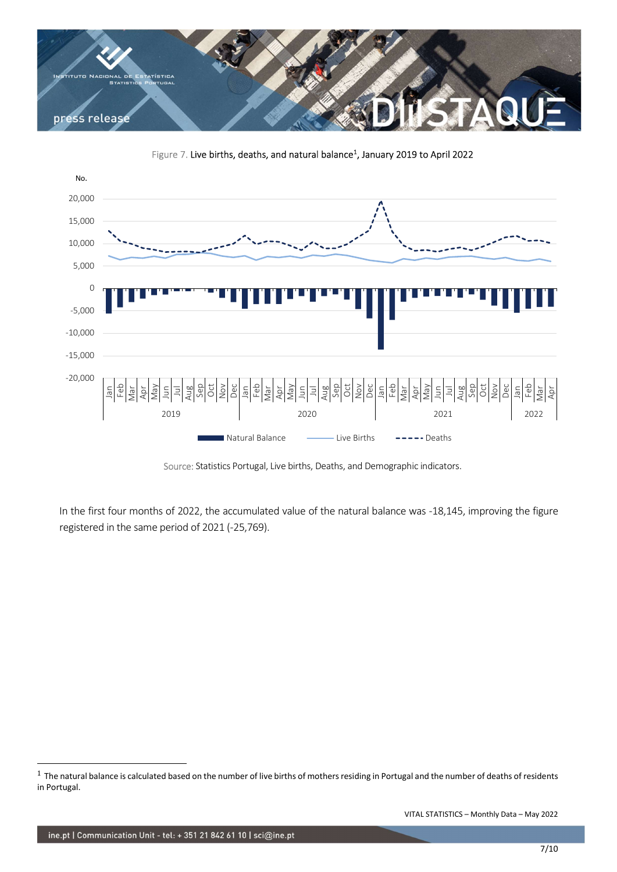

Figure 7. Live births, deaths, and natural balance<sup>1</sup>, January 2019 to April 2022



Source: Statistics Portugal, Live births, Deaths, and Demographic indicators.

In the first four months of 2022, the accumulated value of the natural balance was -18,145, improving the figure registered in the same period of 2021 (-25,769).

 $1$  The natural balance is calculated based on the number of live births of mothers residing in Portugal and the number of deaths of residents in Portugal.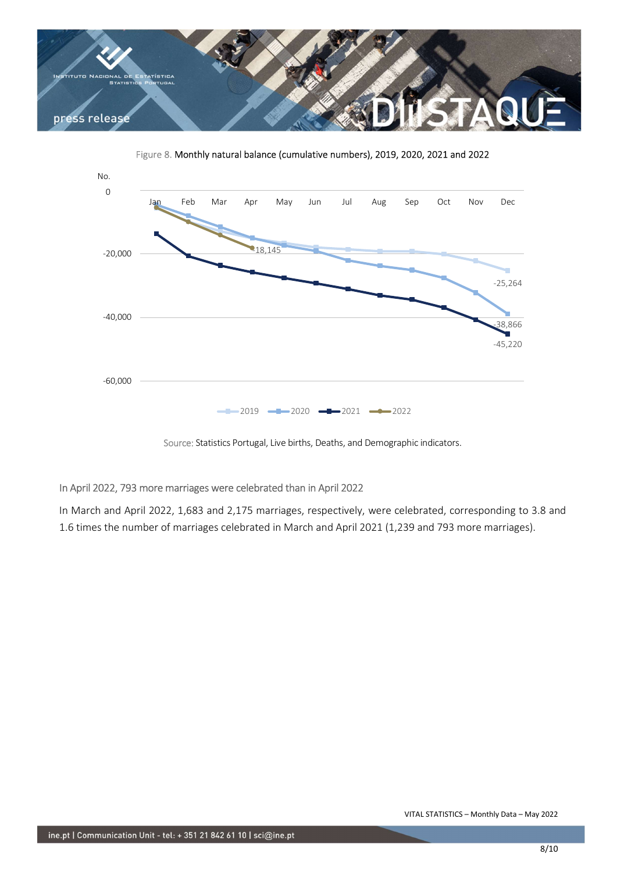



Figure 8. Monthly natural balance (cumulative numbers), 2019, 2020, 2021 and 2022

# In April 2022, 793 more marriages were celebrated than in April 2022

In March and April 2022, 1,683 and 2,175 marriages, respectively, were celebrated, corresponding to 3.8 and 1.6 times the number of marriages celebrated in March and April 2021 (1,239 and 793 more marriages).

Source: Statistics Portugal, Live births, Deaths, and Demographic indicators.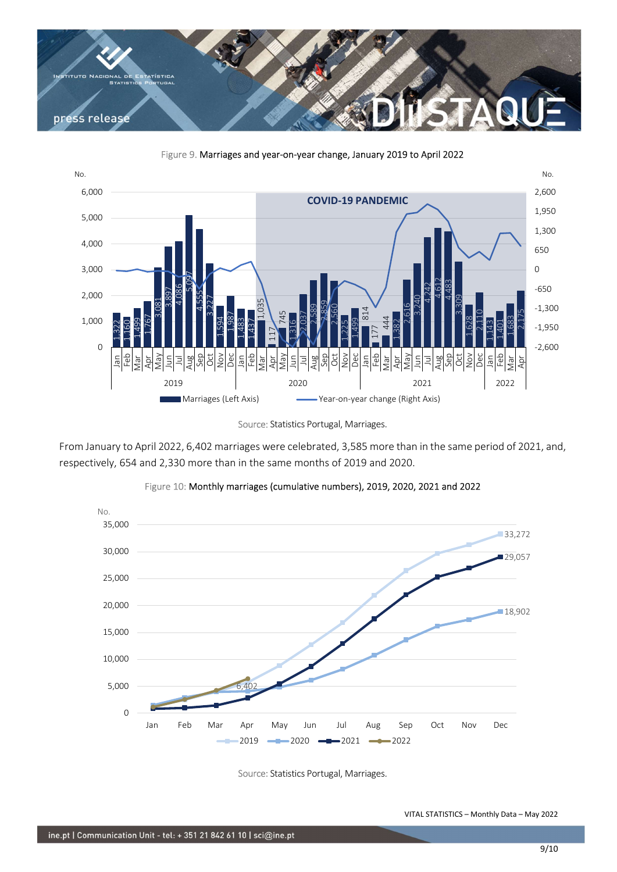





Source: Statistics Portugal, Marriages.

From January to April 2022, 6,402 marriages were celebrated, 3,585 more than in the same period of 2021, and, respectively, 654 and 2,330 more than in the same months of 2019 and 2020.